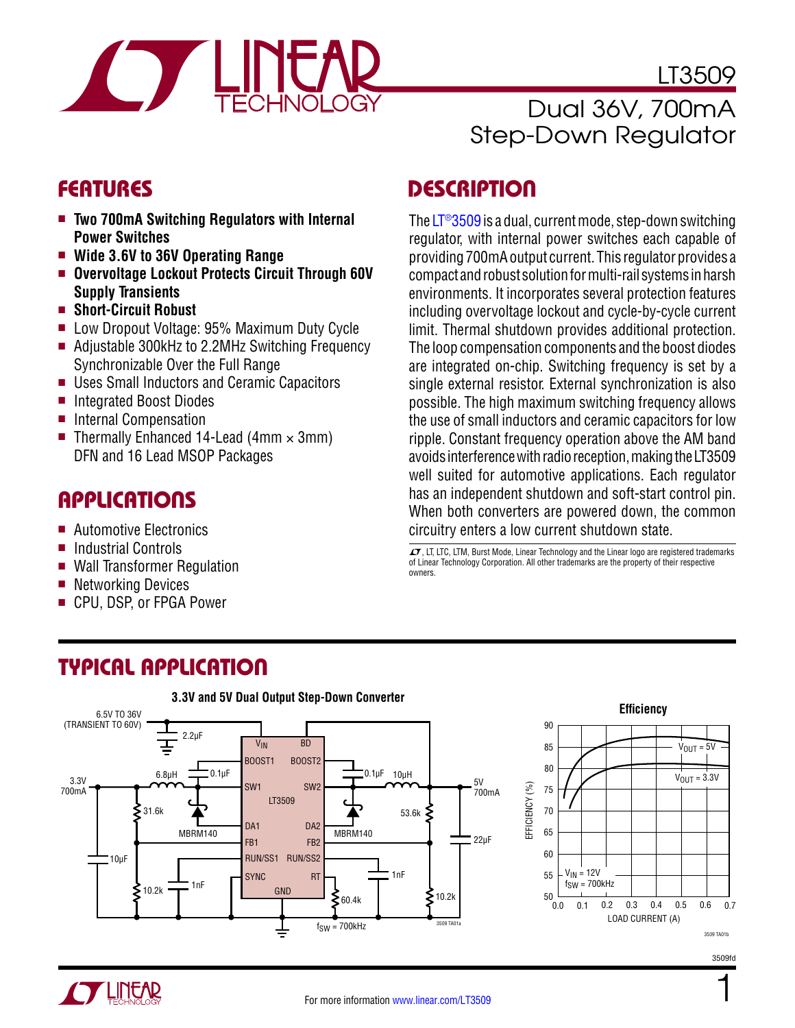

Dual 36V, 700mA Step-Down Regulator

LT3509

### **FEATURES**

- **Two 700mA Switching Regulators with Internal Power Switches**
- <sup>n</sup> **Wide 3.6V to 36V Operating Range**
- **E** Overvoltage Lockout Protects Circuit Through 60V **Supply Transients**
- **n** Short-Circuit Robust
- Low Dropout Voltage: 95% Maximum Duty Cycle
- Adjustable 300kHz to 2.2MHz Switching Frequency Synchronizable Over the Full Range
- Uses Small Inductors and Ceramic Capacitors
- Integrated Boost Diodes
- **n** Internal Compensation
- Thermally Enhanced 14-Lead (4mm  $\times$  3mm) DFN and 16 Lead MSOP Packages

### Applications

- **Automotive Electronics**
- Industrial Controls
- Wall Transformer Regulation
- $\blacksquare$  Networking Devices
- CPU, DSP, or FPGA Power

### **DESCRIPTION**

The [LT®3509](http://www.linear.com/LT3509) is a dual, current mode, step-down switching regulator, with internal power switches each capable of providing 700mA output current. This regulator provides a compact and robust solution for multi-rail systems in harsh environments. It incorporates several protection features including overvoltage lockout and cycle-by-cycle current limit. Thermal shutdown provides additional protection. The loop compensation components and the boost diodes are integrated on-chip. Switching frequency is set by a single external resistor. External synchronization is also possible. The high maximum switching frequency allows the use of small inductors and ceramic capacitors for low ripple. Constant frequency operation above the AM band avoids interference with radio reception, making the LT3509 well suited for automotive applications. Each regulator has an independent shutdown and soft-start control pin. When both converters are powered down, the common circuitry enters a low current shutdown state.

 $\textbf{\textit{I}}$ , LT, LTC, LTM, Burst Mode, Linear Technology and the Linear logo are registered trademarks of Linear Technology Corporation. All other trademarks are the property of their respective owners.

## Typical Application





3509fd

1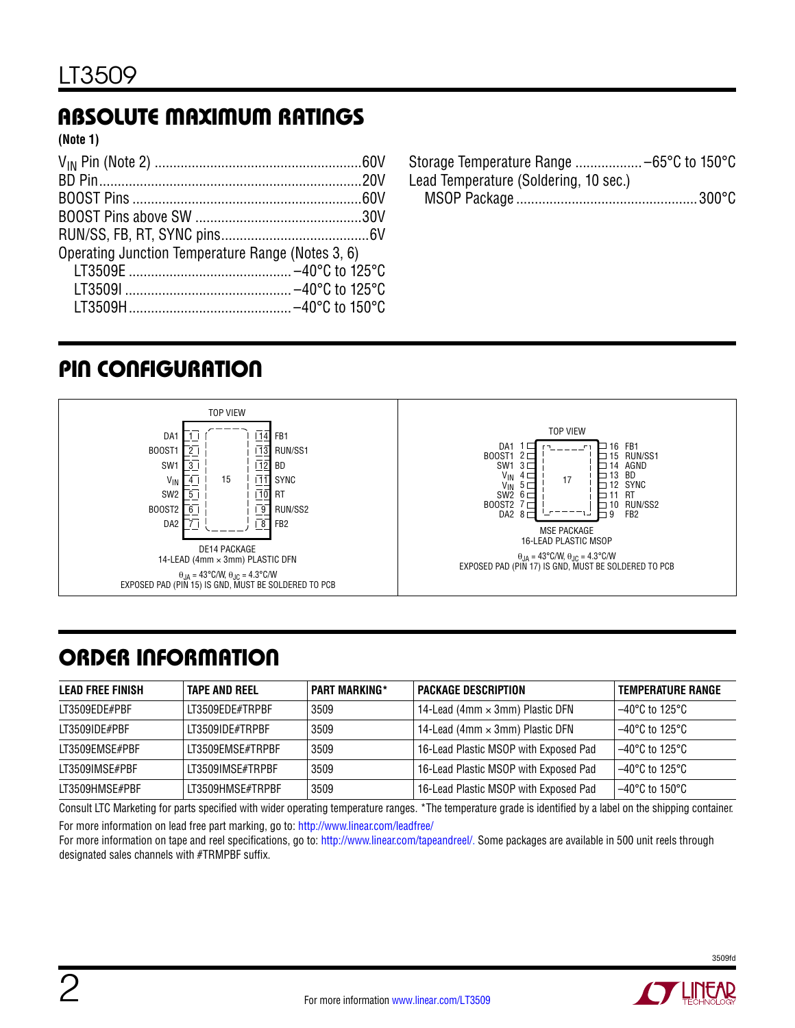# Absolute Maximum Ratings

**(Note 1)**

| Operating Junction Temperature Range (Notes 3, 6) |  |
|---------------------------------------------------|--|
|                                                   |  |
|                                                   |  |
|                                                   |  |

Storage Temperature Range .................. –65°C to 150°C Lead Temperature (Soldering, 10 sec.) MSOP Package .................................................300°C

# pin configuration



# order information

| <b>LEAD FREE FINISH</b> | <b>TAPE AND REEL</b> | <b>PART MARKING*</b> | <b>PACKAGE DESCRIPTION</b>             | <b>TEMPERATURE RANGE</b> |
|-------------------------|----------------------|----------------------|----------------------------------------|--------------------------|
| LT3509EDE#PBF           | IT3509FDF#TRPRF      | 3509                 | 14-Lead (4mm $\times$ 3mm) Plastic DFN | 1–40°C to 125°C          |
| LT3509IDE#PBF           | LT3509IDE#TRPBF      | 3509                 | 14-Lead (4mm $\times$ 3mm) Plastic DFN | $-40^{\circ}$ C to 125°C |
| LT3509EMSE#PBF          | LT3509EMSE#TRPBF     | 3509                 | 16-Lead Plastic MSOP with Exposed Pad  | $-40^{\circ}$ C to 125°C |
| LT3509IMSE#PBF          | LT3509IMSE#TRPBF     | 3509                 | 16-Lead Plastic MSOP with Exposed Pad  | $-40^{\circ}$ C to 125°C |
| LT3509HMSE#PBF          | IT3509HMSF#TRPRF     | 3509                 | 16-Lead Plastic MSOP with Exposed Pad  | 1–40°C to 150°C          |

Consult LTC Marketing for parts specified with wider operating temperature ranges. \*The temperature grade is identified by a label on the shipping container. For more information on lead free part marking, go to: <http://www.linear.com/leadfree/>

For more information on tape and reel specifications, go to: [http://www.linear.com/tapeandreel/.](http://www.linear.com/tapeandreel/) Some packages are available in 500 unit reels through designated sales channels with #TRMPBF suffix.

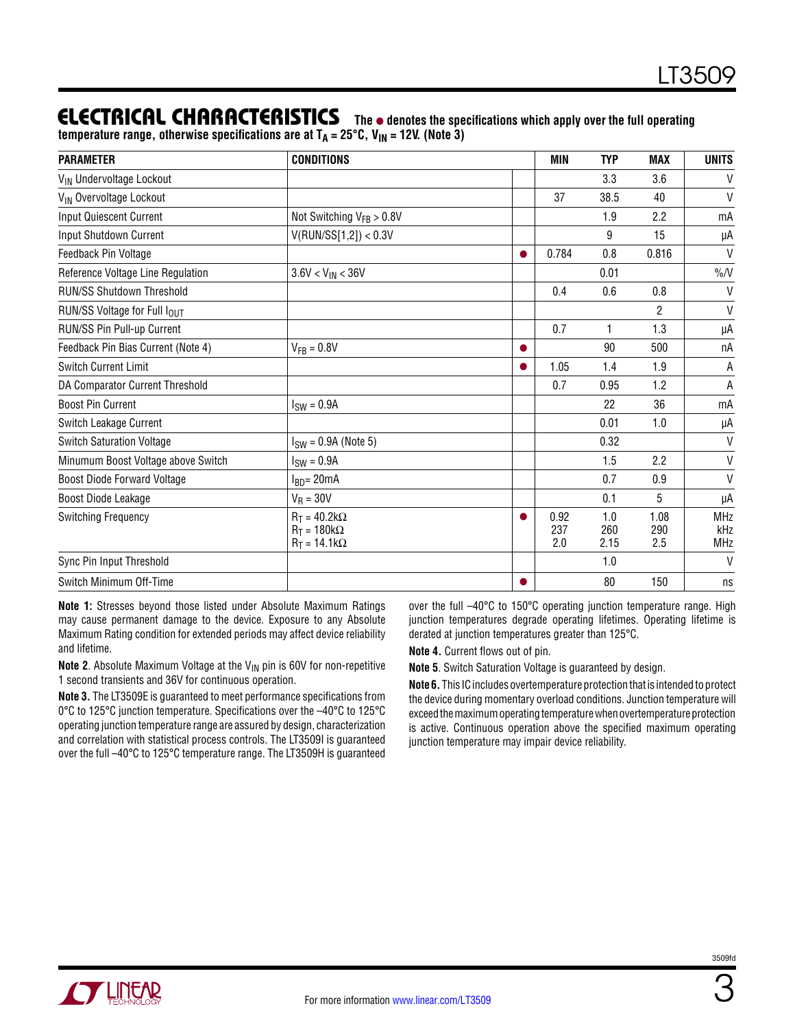#### **ELECTRICAL CHARACTERISTICS** The  $\bullet$  denotes the specifications which apply over the full operating temperature range, otherwise specifications are at T<sub>A</sub> = 25°C, V<sub>IN</sub> = 12V. (Note 3)

| <b>PARAMETER</b>                     | <b>CONDITIONS</b>                                                 | MIN                | <b>TYP</b>         | <b>MAX</b>         | <b>UNITS</b>                    |
|--------------------------------------|-------------------------------------------------------------------|--------------------|--------------------|--------------------|---------------------------------|
| V <sub>IN</sub> Undervoltage Lockout |                                                                   |                    | 3.3                | 3.6                | V                               |
| V <sub>IN</sub> Overvoltage Lockout  |                                                                   | 37                 | 38.5               | 40                 | V                               |
| <b>Input Quiescent Current</b>       | Not Switching $V_{FB} > 0.8V$                                     |                    | 1.9                | 2.2                | mA                              |
| Input Shutdown Current               | V(RUN/SS[1,2]) < 0.3V                                             |                    | 9                  | 15                 | μA                              |
| Feedback Pin Voltage                 |                                                                   | 0.784              | 0.8                | 0.816              | $\mathsf{V}$                    |
| Reference Voltage Line Regulation    | $3.6V < V_{IN} < 36V$                                             |                    | 0.01               |                    | $\%N$                           |
| <b>RUN/SS Shutdown Threshold</b>     |                                                                   | 0.4                | 0.6                | 0.8                | $\mathsf{V}$                    |
| RUN/SS Voltage for Full IOUT         |                                                                   |                    |                    | 2                  | $\vee$                          |
| RUN/SS Pin Pull-up Current           |                                                                   | 0.7                | $\mathbf{1}$       | 1.3                | μA                              |
| Feedback Pin Bias Current (Note 4)   | $V_{FB} = 0.8V$                                                   |                    | 90                 | 500                | nA                              |
| <b>Switch Current Limit</b>          |                                                                   | 1.05               | 1.4                | 1.9                | А                               |
| DA Comparator Current Threshold      |                                                                   | 0.7                | 0.95               | 1.2                | А                               |
| <b>Boost Pin Current</b>             | $ISW = 0.9A$                                                      |                    | 22                 | 36                 | mA                              |
| Switch Leakage Current               |                                                                   |                    | 0.01               | 1.0                | μA                              |
| <b>Switch Saturation Voltage</b>     | $ISW = 0.9A$ (Note 5)                                             |                    | 0.32               |                    | $\mathsf{V}$                    |
| Minumum Boost Voltage above Switch   | $ISW = 0.9A$                                                      |                    | 1.5                | 2.2                | $\mathsf{V}$                    |
| <b>Boost Diode Forward Voltage</b>   | $IBD = 20mA$                                                      |                    | 0.7                | 0.9                | V                               |
| Boost Diode Leakage                  | $V_R = 30V$                                                       |                    | 0.1                | 5                  | μA                              |
| <b>Switching Frequency</b>           | $R_T = 40.2k\Omega$<br>$R_T = 180k\Omega$<br>$R_T = 14.1 k\Omega$ | 0.92<br>237<br>2.0 | 1.0<br>260<br>2.15 | 1.08<br>290<br>2.5 | <b>MHz</b><br>kHz<br><b>MHz</b> |
| Sync Pin Input Threshold             |                                                                   |                    | 1.0                |                    | $\mathsf{V}$                    |
| Switch Minimum Off-Time              |                                                                   |                    | 80                 | 150                | ns                              |

**Note 1:** Stresses beyond those listed under Absolute Maximum Ratings may cause permanent damage to the device. Exposure to any Absolute Maximum Rating condition for extended periods may affect device reliability and lifetime.

**Note 2.** Absolute Maximum Voltage at the V<sub>IN</sub> pin is 60V for non-repetitive 1 second transients and 36V for continuous operation.

**Note 3.** The LT3509E is guaranteed to meet performance specifications from 0°C to 125°C junction temperature. Specifications over the –40°C to 125°C operating junction temperature range are assured by design, characterization and correlation with statistical process controls. The LT3509I is guaranteed over the full –40°C to 125°C temperature range. The LT3509H is guaranteed over the full –40°C to 150°C operating junction temperature range. High junction temperatures degrade operating lifetimes. Operating lifetime is derated at junction temperatures greater than 125°C.

**Note 4.** Current flows out of pin.

**Note 5**. Switch Saturation Voltage is guaranteed by design.

**Note 6.** This IC includes overtemperature protection that is intended to protect the device during momentary overload conditions. Junction temperature will exceed the maximum operating temperature when overtemperature protection is active. Continuous operation above the specified maximum operating junction temperature may impair device reliability.



3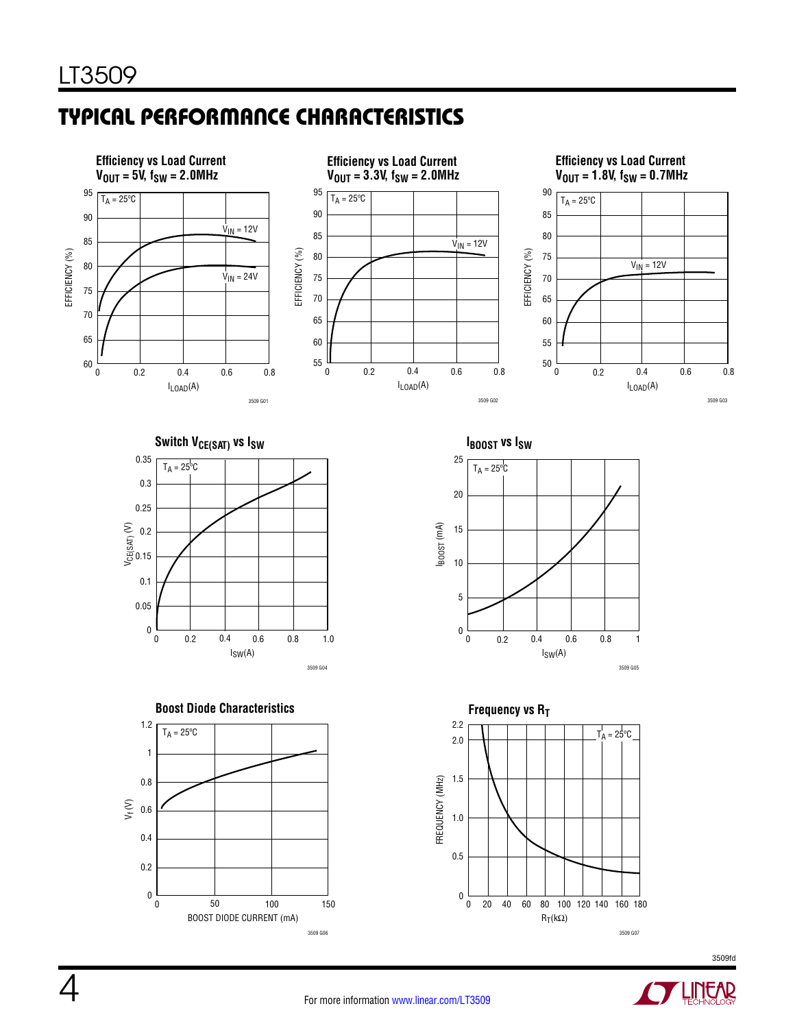# Typical Performance Characteristics



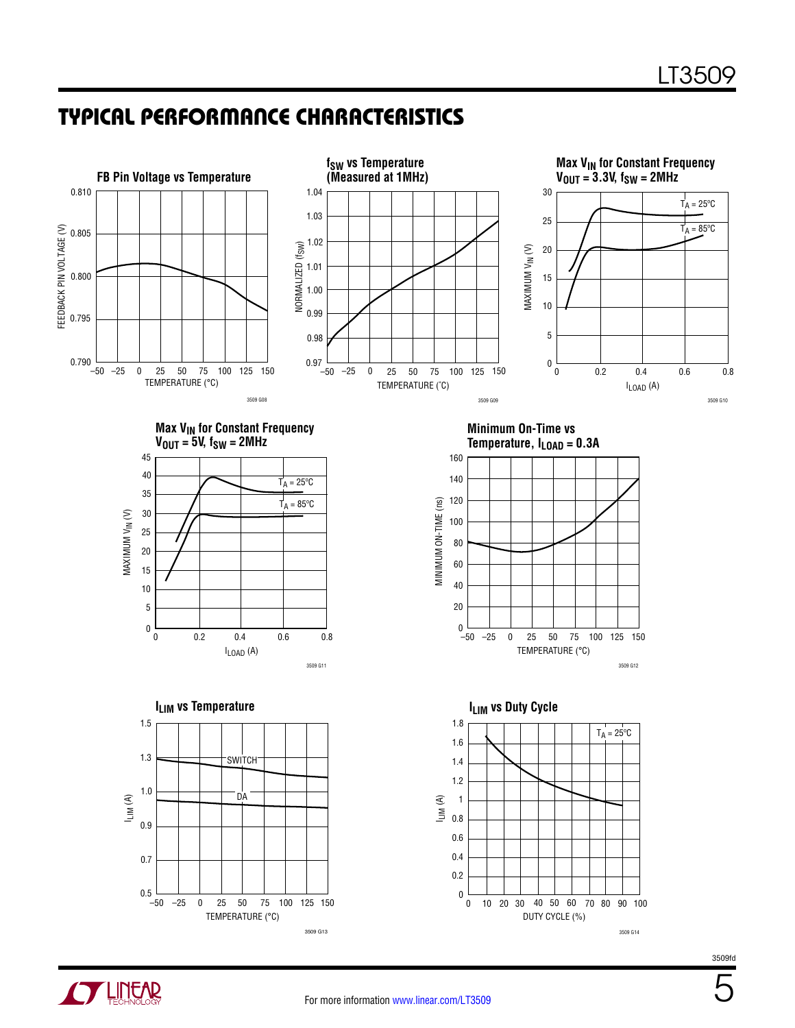### Typical Performance Characteristics



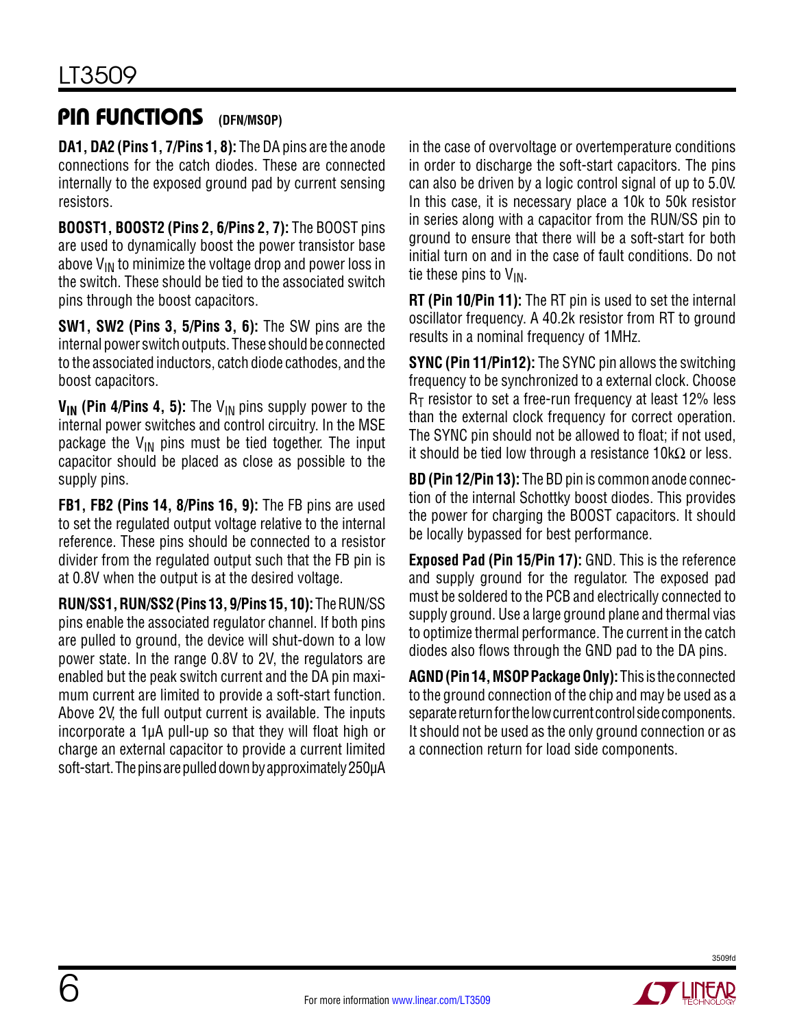#### Pin Functions **(DFN/MSOP)**

**DA1, DA2 (Pins 1, 7/Pins 1, 8):** The DA pins are the anode connections for the catch diodes. These are connected internally to the exposed ground pad by current sensing resistors.

**BOOST1, BOOST2 (Pins 2, 6/Pins 2, 7):** The BOOST pins are used to dynamically boost the power transistor base above  $V_{\text{IN}}$  to minimize the voltage drop and power loss in the switch. These should be tied to the associated switch pins through the boost capacitors.

**SW1, SW2 (Pins 3, 5/Pins 3, 6):** The SW pins are the internal power switch outputs. These should be connected to the associated inductors, catch diode cathodes, and the boost capacitors.

**V<sub>IN</sub>** (Pin 4/Pins 4, 5): The V<sub>IN</sub> pins supply power to the internal power switches and control circuitry. In the MSE package the  $V_{IN}$  pins must be tied together. The input capacitor should be placed as close as possible to the supply pins.

**FB1, FB2 (Pins 14, 8/Pins 16, 9):** The FB pins are used to set the regulated output voltage relative to the internal reference. These pins should be connected to a resistor divider from the regulated output such that the FB pin is at 0.8V when the output is at the desired voltage.

**RUN/SS1, RUN/SS2 (Pins 13, 9/Pins 15, 10):** The RUN/SS pins enable the associated regulator channel. If both pins are pulled to ground, the device will shut-down to a low power state. In the range 0.8V to 2V, the regulators are enabled but the peak switch current and the DA pin maximum current are limited to provide a soft-start function. Above 2V, the full output current is available. The inputs incorporate a 1µA pull-up so that they will float high or charge an external capacitor to provide a current limited soft-start. The pins are pulled down by approximately 250µA in the case of overvoltage or overtemperature conditions in order to discharge the soft-start capacitors. The pins can also be driven by a logic control signal of up to 5.0V. In this case, it is necessary place a 10k to 50k resistor in series along with a capacitor from the RUN/SS pin to ground to ensure that there will be a soft-start for both initial turn on and in the case of fault conditions. Do not tie these pins to  $V_{IN}$ .

**RT (Pin 10/Pin 11):** The RT pin is used to set the internal oscillator frequency. A 40.2k resistor from RT to ground results in a nominal frequency of 1MHz.

**SYNC (Pin 11/Pin12):** The SYNC pin allows the switching frequency to be synchronized to a external clock. Choose  $R<sub>T</sub>$  resistor to set a free-run frequency at least 12% less than the external clock frequency for correct operation. The SYNC pin should not be allowed to float; if not used, it should be tied low through a resistance  $10k\Omega$  or less.

**BD (Pin 12/Pin 13):** The BD pin is common anode connection of the internal Schottky boost diodes. This provides the power for charging the BOOST capacitors. It should be locally bypassed for best performance.

**Exposed Pad (Pin 15/Pin 17):** GND. This is the reference and supply ground for the regulator. The exposed pad must be soldered to the PCB and electrically connected to supply ground. Use a large ground plane and thermal vias to optimize thermal performance. The current in the catch diodes also flows through the GND pad to the DA pins.

**AGND (Pin 14, MSOP Package Only):** This is the connected to the ground connection of the chip and may be used as a separate return for the low current control side components. It should not be used as the only ground connection or as a connection return for load side components.

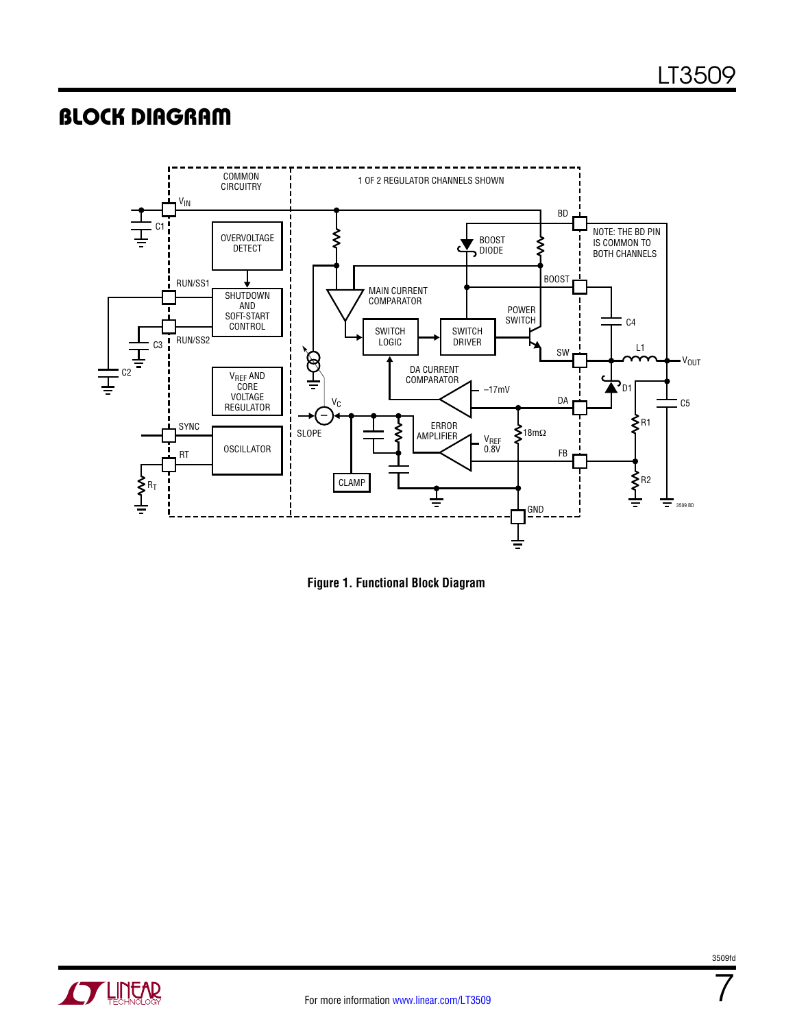### Block Diagram



**Figure 1. Functional Block Diagram**



7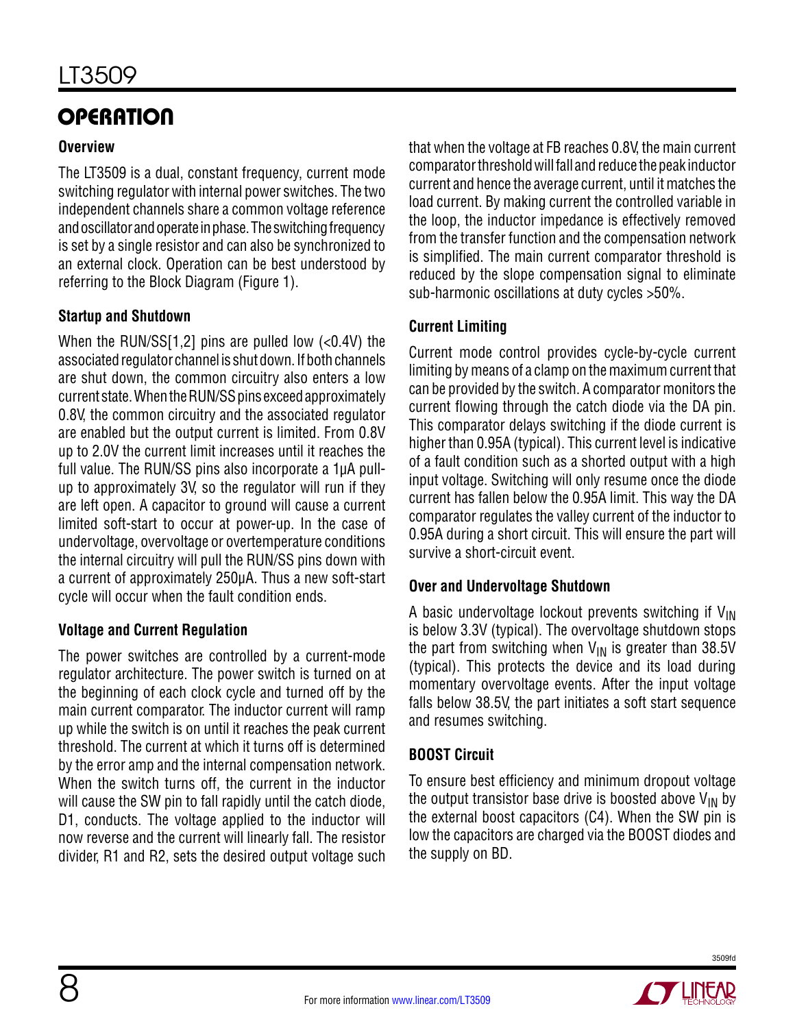# **OPERATION**

#### **Overview**

The LT3509 is a dual, constant frequency, current mode switching regulator with internal power switches. The two independent channels share a common voltage reference and oscillator and operate in phase. The switching frequency is set by a single resistor and can also be synchronized to an external clock. Operation can be best understood by referring to the Block Diagram (Figure 1).

#### **Startup and Shutdown**

When the RUN/SS $[1,2]$  pins are pulled low  $( $0.4V$ )$  the associated regulator channel is shut down. If both channels are shut down, the common circuitry also enters a low current state. When the RUN/SS pins exceed approximately 0.8V, the common circuitry and the associated regulator are enabled but the output current is limited. From 0.8V up to 2.0V the current limit increases until it reaches the full value. The RUN/SS pins also incorporate a 1µA pullup to approximately 3V, so the regulator will run if they are left open. A capacitor to ground will cause a current limited soft-start to occur at power-up. In the case of undervoltage, overvoltage or overtemperature conditions the internal circuitry will pull the RUN/SS pins down with a current of approximately 250µA. Thus a new soft-start cycle will occur when the fault condition ends.

#### **Voltage and Current Regulation**

The power switches are controlled by a current-mode regulator architecture. The power switch is turned on at the beginning of each clock cycle and turned off by the main current comparator. The inductor current will ramp up while the switch is on until it reaches the peak current threshold. The current at which it turns off is determined by the error amp and the internal compensation network. When the switch turns off, the current in the inductor will cause the SW pin to fall rapidly until the catch diode, D1, conducts. The voltage applied to the inductor will now reverse and the current will linearly fall. The resistor divider, R1 and R2, sets the desired output voltage such

that when the voltage at FB reaches 0.8V, the main current comparator threshold will fall and reduce the peak inductor current and hence the average current, until it matches the load current. By making current the controlled variable in the loop, the inductor impedance is effectively removed from the transfer function and the compensation network is simplified. The main current comparator threshold is reduced by the slope compensation signal to eliminate sub-harmonic oscillations at duty cycles >50%.

### **Current Limiting**

Current mode control provides cycle-by-cycle current limiting by means of a clamp on the maximum current that can be provided by the switch. A comparator monitors the current flowing through the catch diode via the DA pin. This comparator delays switching if the diode current is higher than 0.95A (typical). This current level is indicative of a fault condition such as a shorted output with a high input voltage. Switching will only resume once the diode current has fallen below the 0.95A limit. This way the DA comparator regulates the valley current of the inductor to 0.95A during a short circuit. This will ensure the part will survive a short-circuit event.

#### **Over and Undervoltage Shutdown**

A basic undervoltage lockout prevents switching if  $V_{\text{IN}}$ is below 3.3V (typical). The overvoltage shutdown stops the part from switching when  $V_{IN}$  is greater than 38.5V (typical). This protects the device and its load during momentary overvoltage events. After the input voltage falls below 38.5V, the part initiates a soft start sequence and resumes switching.

#### **BOOST Circuit**

To ensure best efficiency and minimum dropout voltage the output transistor base drive is boosted above  $V_{IN}$  by the external boost capacitors (C4). When the SW pin is low the capacitors are charged via the BOOST diodes and the supply on BD.

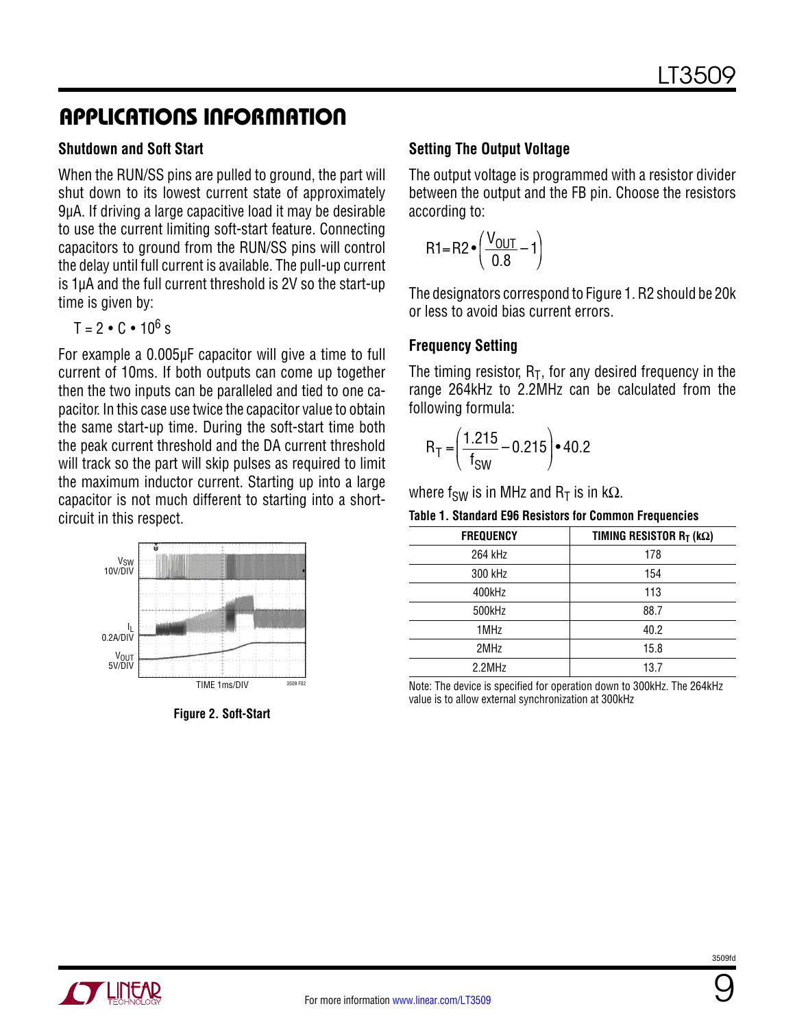#### **Shutdown and Soft Start**

When the RUN/SS pins are pulled to ground, the part will shut down to its lowest current state of approximately 9µA. If driving a large capacitive load it may be desirable to use the current limiting soft-start feature. Connecting capacitors to ground from the RUN/SS pins will control the delay until full current is available. The pull-up current is 1µA and the full current threshold is 2V so the start-up time is given by:

 $T = 2 \cdot C \cdot 10^6$  s

For example a 0.005µF capacitor will give a time to full current of 10ms. If both outputs can come up together then the two inputs can be paralleled and tied to one capacitor. In this case use twice the capacitor value to obtain the same start-up time. During the soft-start time both the peak current threshold and the DA current threshold will track so the part will skip pulses as required to limit the maximum inductor current. Starting up into a large capacitor is not much different to starting into a shortcircuit in this respect.



**Figure 2. Soft-Start**

#### **Setting The Output Voltage**

The output voltage is programmed with a resistor divider between the output and the FB pin. Choose the resistors according to:

$$
R1 = R2 \cdot \left(\frac{V_{OUT}}{0.8} - 1\right)
$$

The designators correspond to Figure 1. R2 should be 20k or less to avoid bias current errors.

#### **Frequency Setting**

The timing resistor,  $R_T$ , for any desired frequency in the range 264kHz to 2.2MHz can be calculated from the following formula:

$$
R_T = \left(\frac{1.215}{f_{SW}} - 0.215\right) \cdot 40.2
$$

where f<sub>SW</sub> is in MHz and R<sub>T</sub> is in kΩ.

**Table 1. Standard E96 Resistors for Common Frequencies**

| <b>FREQUENCY</b> | TIMING RESISTOR $R_T$ (k $\Omega$ ) |
|------------------|-------------------------------------|
| 264 kHz          | 178                                 |
| 300 kHz          | 154                                 |
| 400kHz           | 113                                 |
| 500kHz           | 88.7                                |
| 1MHz             | 40.2                                |
| 2MHz             | 15.8                                |
| $2.2$ MHz        | 13.7                                |

Note: The device is specified for operation down to 300kHz. The 264kHz value is to allow external synchronization at 300kHz



9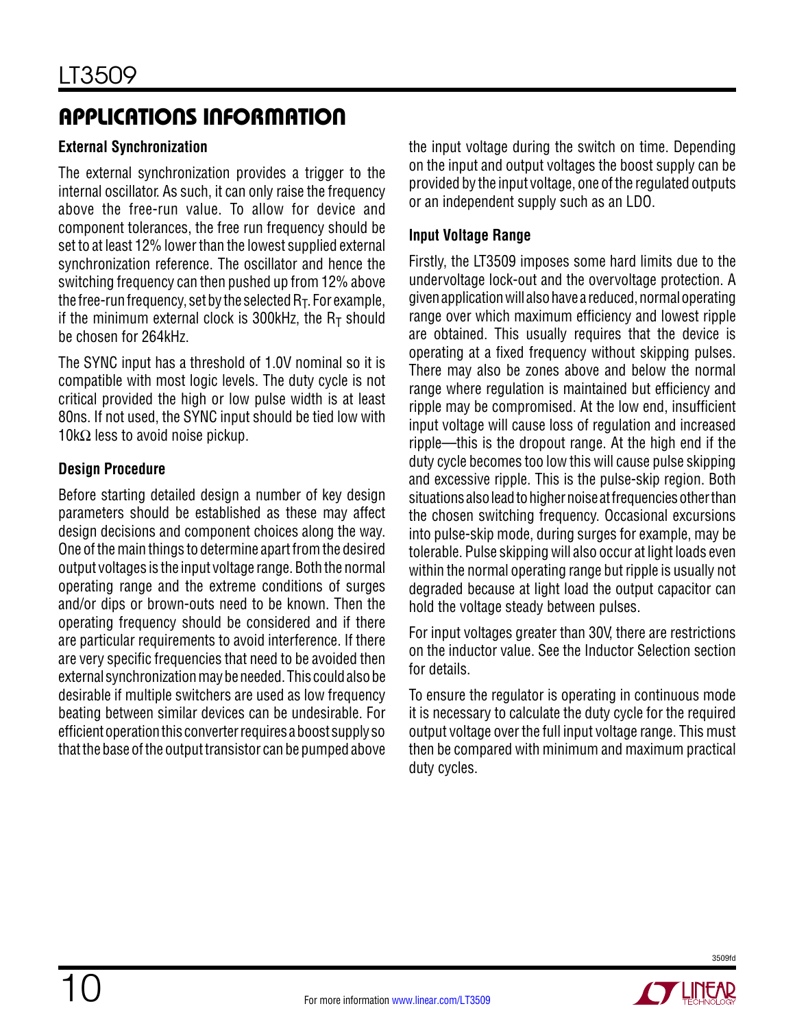#### **External Synchronization**

The external synchronization provides a trigger to the internal oscillator. As such, it can only raise the frequency above the free-run value. To allow for device and component tolerances, the free run frequency should be set to at least 12% lower than the lowest supplied external synchronization reference. The oscillator and hence the switching frequency can then pushed up from 12% above the free-run frequency, set by the selected  $R<sub>T</sub>$ . For example, if the minimum external clock is 300kHz, the  $R<sub>T</sub>$  should be chosen for 264kHz.

The SYNC input has a threshold of 1.0V nominal so it is compatible with most logic levels. The duty cycle is not critical provided the high or low pulse width is at least 80ns. If not used, the SYNC input should be tied low with  $10kΩ$  less to avoid noise pickup.

#### **Design Procedure**

Before starting detailed design a number of key design parameters should be established as these may affect design decisions and component choices along the way. One of the main things to determine apart from the desired output voltages is the input voltage range. Both the normal operating range and the extreme conditions of surges and/or dips or brown-outs need to be known. Then the operating frequency should be considered and if there are particular requirements to avoid interference. If there are very specific frequencies that need to be avoided then external synchronization may be needed. This could also be desirable if multiple switchers are used as low frequency beating between similar devices can be undesirable. For efficient operation this converter requires a boost supply so that the base of the output transistor can be pumped above

the input voltage during the switch on time. Depending on the input and output voltages the boost supply can be provided by the input voltage, one of the regulated outputs or an independent supply such as an LDO.

#### **Input Voltage Range**

Firstly, the LT3509 imposes some hard limits due to the undervoltage lock-out and the overvoltage protection. A given application will also have a reduced, normal operating range over which maximum efficiency and lowest ripple are obtained. This usually requires that the device is operating at a fixed frequency without skipping pulses. There may also be zones above and below the normal range where regulation is maintained but efficiency and ripple may be compromised. At the low end, insufficient input voltage will cause loss of regulation and increased ripple—this is the dropout range. At the high end if the duty cycle becomes too low this will cause pulse skipping and excessive ripple. This is the pulse-skip region. Both situations also lead to higher noise at frequencies other than the chosen switching frequency. Occasional excursions into pulse-skip mode, during surges for example, may be tolerable. Pulse skipping will also occur at light loads even within the normal operating range but ripple is usually not degraded because at light load the output capacitor can hold the voltage steady between pulses.

For input voltages greater than 30V, there are restrictions on the inductor value. See the Inductor Selection section for details.

To ensure the regulator is operating in continuous mode it is necessary to calculate the duty cycle for the required output voltage over the full input voltage range. This must then be compared with minimum and maximum practical duty cycles.

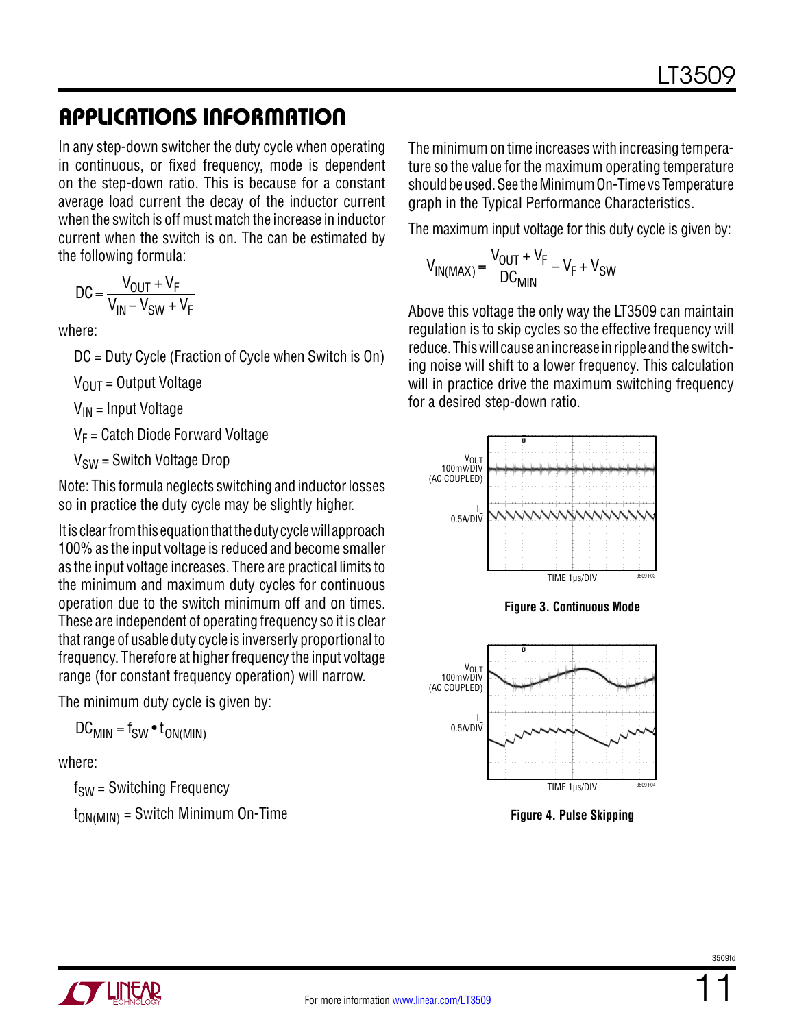In any step-down switcher the duty cycle when operating in continuous, or fixed frequency, mode is dependent on the step-down ratio. This is because for a constant average load current the decay of the inductor current when the switch is off must match the increase in inductor current when the switch is on. The can be estimated by the following formula:

$$
DC = \frac{V_{OUT} + V_F}{V_{IN} - V_{SW} + V_F}
$$

where:

DC = Duty Cycle (Fraction of Cycle when Switch is On)

 $V_{OIII}$  = Output Voltage

 $V_{IN}$  = Input Voltage

 $V_F$  = Catch Diode Forward Voltage

 $V_{SW}$  = Switch Voltage Drop

Note: This formula neglects switching and inductor losses so in practice the duty cycle may be slightly higher.

It is clear from this equation that the duty cycle will approach 100% as the input voltage is reduced and become smaller as the input voltage increases. There are practical limits to the minimum and maximum duty cycles for continuous operation due to the switch minimum off and on times. These are independent of operating frequency so it is clear that range of usable duty cycle is inverserly proportional to frequency. Therefore at higher frequency the input voltage range (for constant frequency operation) will narrow.

The minimum duty cycle is given by:

 $DC_{MIN} = f_{SW} \cdot t_{ON(MIN)}$ 

where:

 $f<sub>SW</sub>$  = Switching Frequency

 $t_{ON(MIN)}$  = Switch Minimum On-Time

The minimum on time increases with increasing temperature so the value for the maximum operating temperature should be used. See the Minimum On-Time vs Temperature graph in the Typical Performance Characteristics.

The maximum input voltage for this duty cycle is given by:

$$
V_{IN(MAX)} = \frac{V_{OUT} + V_F}{DC_{MIN}} - V_F + V_{SW}
$$

Above this voltage the only way the LT3509 can maintain regulation is to skip cycles so the effective frequency will reduce. This will cause an increase in ripple and the switching noise will shift to a lower frequency. This calculation will in practice drive the maximum switching frequency for a desired step-down ratio.



**Figure 4. Pulse Skipping**

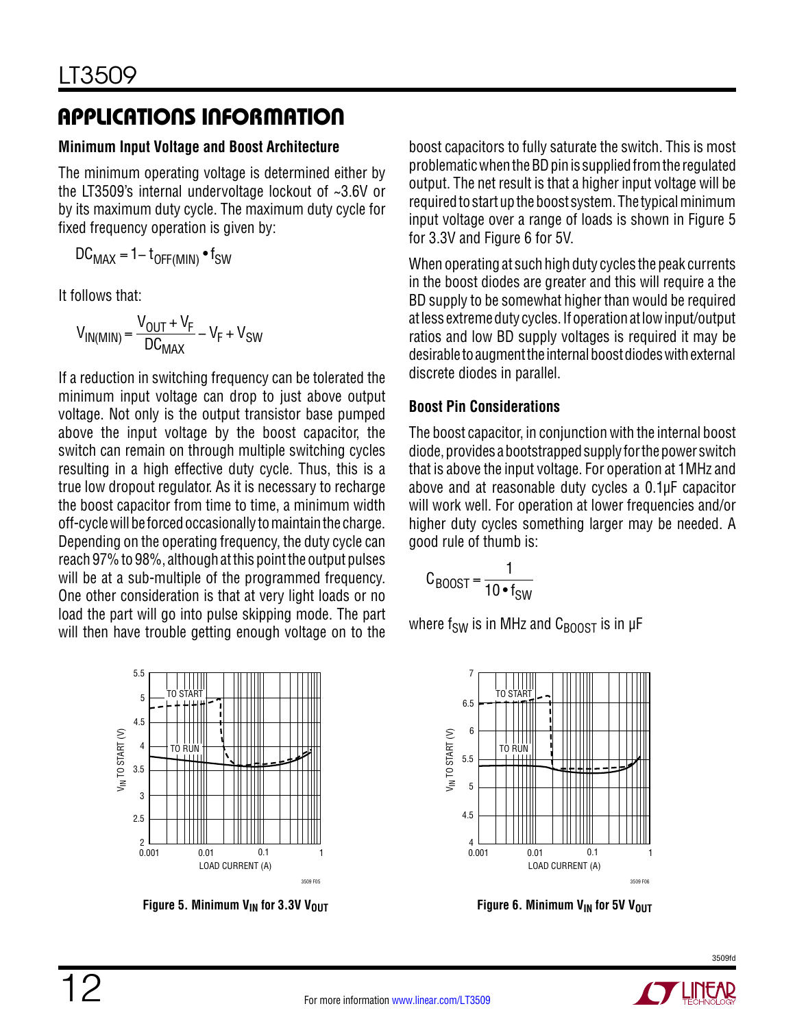#### **Minimum Input Voltage and Boost Architecture**

The minimum operating voltage is determined either by the LT3509's internal undervoltage lockout of ~3.6V or by its maximum duty cycle. The maximum duty cycle for fixed frequency operation is given by:

$$
DC_{MAX} = 1 - t_{OFF(MIN)} \cdot f_{SW}
$$

It follows that:

$$
V_{IN(MIN)} = \frac{V_{OUT} + V_F}{DC_{MAX}} - V_F + V_{SW}
$$

If a reduction in switching frequency can be tolerated the minimum input voltage can drop to just above output voltage. Not only is the output transistor base pumped above the input voltage by the boost capacitor, the switch can remain on through multiple switching cycles resulting in a high effective duty cycle. Thus, this is a true low dropout regulator. As it is necessary to recharge the boost capacitor from time to time, a minimum width off-cycle will be forced occasionally to maintain the charge. Depending on the operating frequency, the duty cycle can reach 97% to 98%, although at this point the output pulses will be at a sub-multiple of the programmed frequency. One other consideration is that at very light loads or no load the part will go into pulse skipping mode. The part will then have trouble getting enough voltage on to the



**Figure 5. Minimum V<sub>IN</sub> for 3.3V V<sub>OUT</sub>** 

boost capacitors to fully saturate the switch. This is most problematic when the BD pin is supplied from the regulated output. The net result is that a higher input voltage will be required to start up the boost system. The typical minimum input voltage over a range of loads is shown in Figure 5 for 3.3V and Figure 6 for 5V.

When operating at such high duty cycles the peak currents in the boost diodes are greater and this will require a the BD supply to be somewhat higher than would be required at less extreme duty cycles. If operation at low input/output ratios and low BD supply voltages is required it may be desirable to augment the internal boost diodes with external discrete diodes in parallel.

#### **Boost Pin Considerations**

The boost capacitor, in conjunction with the internal boost diode, provides a bootstrapped supply for the power switch that is above the input voltage. For operation at 1MHz and above and at reasonable duty cycles a 0.1µF capacitor will work well. For operation at lower frequencies and/or higher duty cycles something larger may be needed. A good rule of thumb is:

$$
C_{\text{BOOST}} = \frac{1}{10 \cdot f_{\text{SW}}}
$$

where  $f_{SW}$  is in MHz and  $C_{BODST}$  is in  $\mu$ F



**Figure 6. Minimum V<sub>IN</sub> for 5V V<sub>OUT</sub>** 

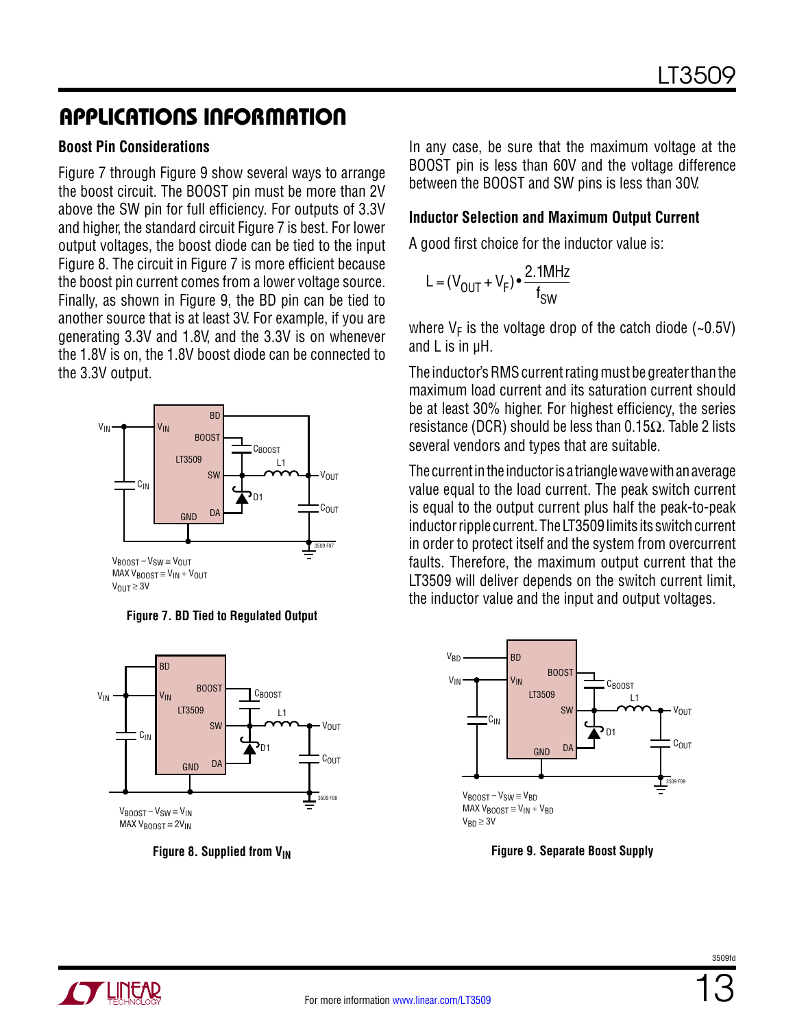#### **Boost Pin Considerations**

Figure 7 through Figure 9 show several ways to arrange the boost circuit. The BOOST pin must be more than 2V above the SW pin for full efficiency. For outputs of 3.3V and higher, the standard circuit Figure 7 is best. For lower output voltages, the boost diode can be tied to the input Figure 8. The circuit in Figure 7 is more efficient because the boost pin current comes from a lower voltage source. Finally, as shown in Figure 9, the BD pin can be tied to another source that is at least 3V. For example, if you are generating 3.3V and 1.8V, and the 3.3V is on whenever the 1.8V is on, the 1.8V boost diode can be connected to the 3.3V output.









In any case, be sure that the maximum voltage at the BOOST pin is less than 60V and the voltage difference between the BOOST and SW pins is less than 30V.

#### **Inductor Selection and Maximum Output Current**

A good first choice for the inductor value is:

$$
L = (V_{OUT} + V_F) \cdot \frac{2.1 MHz}{f_{SW}}
$$

where  $V_F$  is the voltage drop of the catch diode (~0.5V) and L is in µH.

The inductor's RMS current rating must be greater than the maximum load current and its saturation current should be at least 30% higher. For highest efficiency, the series resistance (DCR) should be less than 0.15 $Ω$ . Table 2 lists several vendors and types that are suitable.

The current in the inductor is a triangle wave with an average value equal to the load current. The peak switch current is equal to the output current plus half the peak-to-peak inductor ripple current. The LT3509 limits its switch current in order to protect itself and the system from overcurrent faults. Therefore, the maximum output current that the LT3509 will deliver depends on the switch current limit, the inductor value and the input and output voltages.



**Figure 9. Separate Boost Supply**

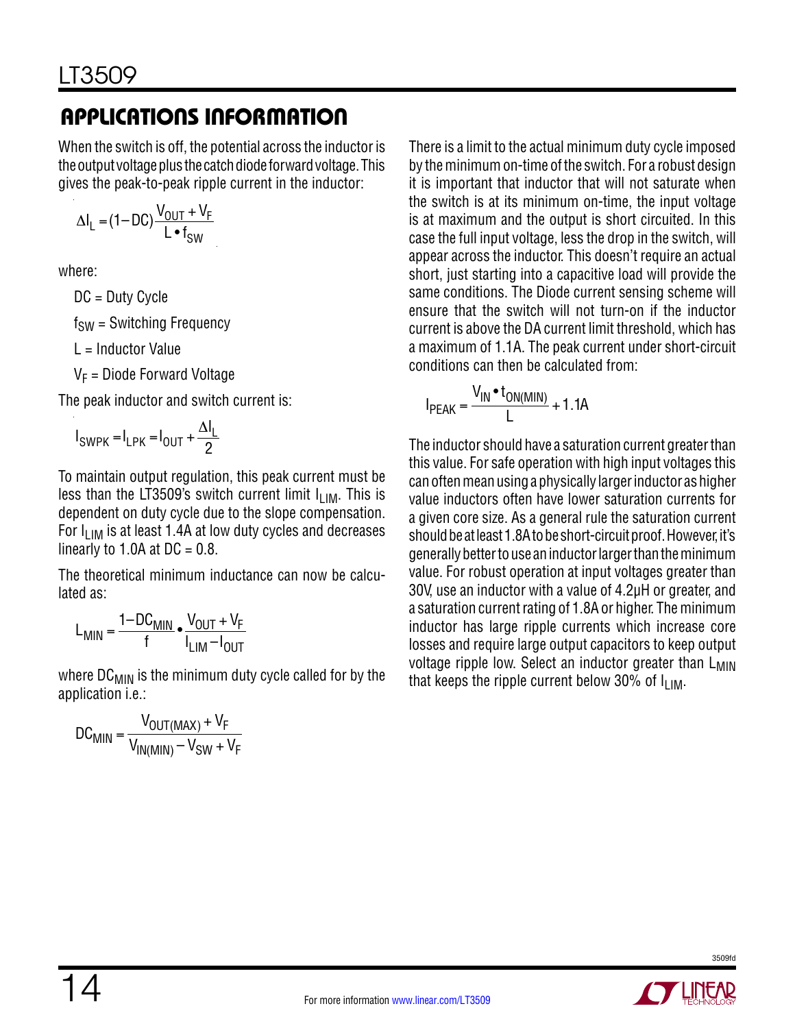When the switch is off, the potential across the inductor is the output voltage plus the catch diode forward voltage. This gives the peak-to-peak ripple current in the inductor:

$$
\Delta I_L = (1 - DC) \frac{V_{OUT} + V_F}{L \cdot f_{SW}}
$$

where:

DC = Duty Cycle

 $f<sub>SW</sub>$  = Switching Frequency

L = Inductor Value

 $V_F$  = Diode Forward Voltage

The peak inductor and switch current is:

$$
I_{SWPK} = I_{LPK} = I_{OUT} + \frac{\Delta I_L}{2}
$$

To maintain output regulation, this peak current must be less than the LT3509's switch current limit  $I_{LIM}$ . This is dependent on duty cycle due to the slope compensation. For  $I_{LIM}$  is at least 1.4A at low duty cycles and decreases linearly to 1.0A at  $DC = 0.8$ .

The theoretical minimum inductance can now be calculated as:

$$
L_{\text{MIN}} = \frac{1 - DC_{\text{MIN}}}{f} \cdot \frac{V_{\text{OUT}} + V_{F}}{I_{\text{LIM}} - I_{\text{OUT}}}
$$

where  $DC_{MIN}$  is the minimum duty cycle called for by the application i.e.:

$$
DC_{MIN} = \frac{V_{OUT(MAX)} + V_F}{V_{IN(MIN)} - V_{SW} + V_F}
$$

There is a limit to the actual minimum duty cycle imposed by the minimum on-time of the switch. For a robust design it is important that inductor that will not saturate when the switch is at its minimum on-time, the input voltage is at maximum and the output is short circuited. In this case the full input voltage, less the drop in the switch, will appear across the inductor. This doesn't require an actual short, just starting into a capacitive load will provide the same conditions. The Diode current sensing scheme will ensure that the switch will not turn-on if the inductor current is above the DA current limit threshold, which has a maximum of 1.1A. The peak current under short-circuit conditions can then be calculated from:

$$
I_{PEAK} = \frac{V_{IN} \cdot t_{ON(MIN)}}{L} + 1.1A
$$

The inductor should have a saturation current greater than this value. For safe operation with high input voltages this can often mean using a physically larger inductor as higher value inductors often have lower saturation currents for a given core size. As a general rule the saturation current should be at least 1.8A to be short-circuit proof. However, it's generally better to use an inductor larger than the minimum value. For robust operation at input voltages greater than 30V, use an inductor with a value of 4.2µH or greater, and a saturation current rating of 1.8A or higher. The minimum inductor has large ripple currents which increase core losses and require large output capacitors to keep output voltage ripple low. Select an inductor greater than  $L_{MIN}$ that keeps the ripple current below 30% of  $I_{LIM}$ .

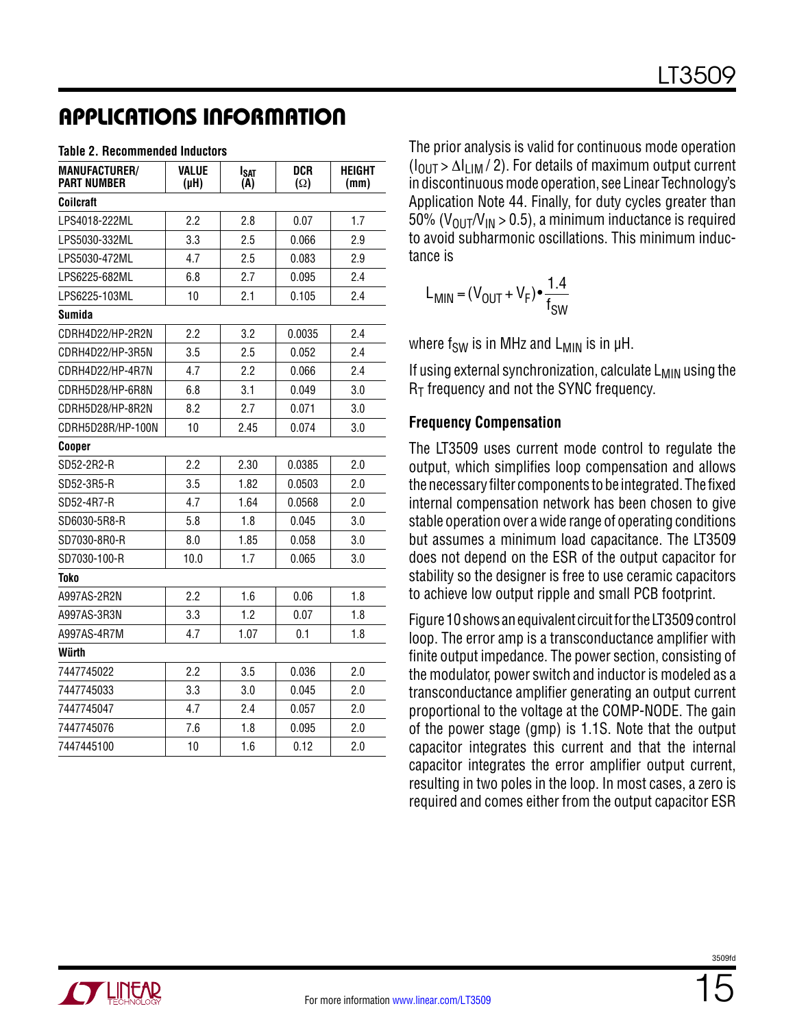#### **Table 2. Recommended Inductors**

| <b>MANUFACTURER/</b><br><b>PART NUMBER</b> | <b>VALUE</b><br>(H) | Isat<br>(A) | DCR<br>$(\Omega)$ | <b>HEIGHT</b><br>(mm) |  |
|--------------------------------------------|---------------------|-------------|-------------------|-----------------------|--|
| Coilcraft                                  |                     |             |                   |                       |  |
| LPS4018-222ML                              | 2.2                 | 2.8         | 0.07              | 1.7                   |  |
| LPS5030-332ML                              | 3.3                 | 2.5         | 0.066             | 2.9                   |  |
| LPS5030-472ML                              | 4.7                 | 2.5         | 0.083             | 2.9                   |  |
| LPS6225-682ML                              | 6.8                 | 2.7         | 0.095             | 2.4                   |  |
| LPS6225-103ML                              | 10                  | 2.1         | 0.105             | 2.4                   |  |
| <b>Sumida</b>                              |                     |             |                   |                       |  |
| CDRH4D22/HP-2R2N                           | 2.2                 | 3.2         | 0.0035            | 2.4                   |  |
| CDRH4D22/HP-3R5N                           | 3.5                 | 2.5         | 0.052             | 2.4                   |  |
| CDRH4D22/HP-4R7N                           | 4.7                 | 2.2         | 0.066             | 2.4                   |  |
| CDRH5D28/HP-6R8N                           | 6.8                 | 3.1         | 0.049             | 3.0                   |  |
| CDRH5D28/HP-8R2N                           | 8.2                 | 2.7         | 0.071             | 3.0                   |  |
| CDRH5D28R/HP-100N                          | 10                  | 2.45        | 0.074             | 3.0                   |  |
| Cooper                                     |                     |             |                   |                       |  |
| SD52-2R2-R                                 | 2.2                 | 2.30        | 0.0385            | 2.0                   |  |
| SD52-3R5-R                                 | 3.5                 | 1.82        | 0.0503            | 2.0                   |  |
| SD52-4R7-R                                 | 4.7                 | 1.64        | 0.0568            | 2.0                   |  |
| SD6030-5R8-R                               | 5.8                 | 1.8         | 0.045             | 3.0                   |  |
| SD7030-8R0-R                               | 8.0                 | 1.85        | 0.058             | 3.0                   |  |
| SD7030-100-R                               | 10.0                | 1.7         | 0.065             | 3.0                   |  |
| <b>Toko</b>                                |                     |             |                   |                       |  |
| A997AS-2R2N                                | 2.2                 | 1.6         | 0.06              | 1.8                   |  |
| A997AS-3R3N                                | 3.3                 | 1.2         | 0.07              | 1.8                   |  |
| A997AS-4R7M                                | 4.7                 | 1.07        | 0.1               | 1.8                   |  |
| Würth                                      |                     |             |                   |                       |  |
| 7447745022                                 | 2.2                 | 3.5         | 0.036             | 2.0                   |  |
| 7447745033                                 | 3.3                 | 3.0         | 0.045             | 2.0                   |  |
| 7447745047                                 | 4.7                 | 2.4         | 0.057             | 2.0                   |  |
| 7447745076                                 | 7.6                 | 1.8         | 0.095             | 2.0                   |  |
| 7447445100                                 | 10                  | 1.6         | 0.12              | 2.0                   |  |

The prior analysis is valid for continuous mode operation  $(I<sub>OUT</sub> > \Delta I<sub>UIM</sub> / 2)$ . For details of maximum output current in discontinuous mode operation, see Linear Technology's Application Note 44. Finally, for duty cycles greater than 50% ( $V_{\text{OUT}}/V_{\text{IN}} > 0.5$ ), a minimum inductance is required to avoid subharmonic oscillations. This minimum inductance is

$$
L_{\text{MIN}} = (V_{\text{OUT}} + V_{\text{F}}) \cdot \frac{1.4}{f_{\text{SW}}}
$$

where  $f_{SW}$  is in MHz and  $L_{MIN}$  is in  $\mu$ H.

If using external synchronization, calculate  $L_{MIN}$  using the  $R<sub>T</sub>$  frequency and not the SYNC frequency.

#### **Frequency Compensation**

The LT3509 uses current mode control to regulate the output, which simplifies loop compensation and allows the necessary filter components to be integrated. The fixed internal compensation network has been chosen to give stable operation over a wide range of operating conditions but assumes a minimum load capacitance. The LT3509 does not depend on the ESR of the output capacitor for stability so the designer is free to use ceramic capacitors to achieve low output ripple and small PCB footprint.

Figure 10 shows an equivalent circuit for the LT3509 control loop. The error amp is a transconductance amplifier with finite output impedance. The power section, consisting of the modulator, power switch and inductor is modeled as a transconductance amplifier generating an output current proportional to the voltage at the COMP-NODE. The gain of the power stage (gmp) is 1.1S. Note that the output capacitor integrates this current and that the internal capacitor integrates the error amplifier output current, resulting in two poles in the loop. In most cases, a zero is required and comes either from the output capacitor ESR

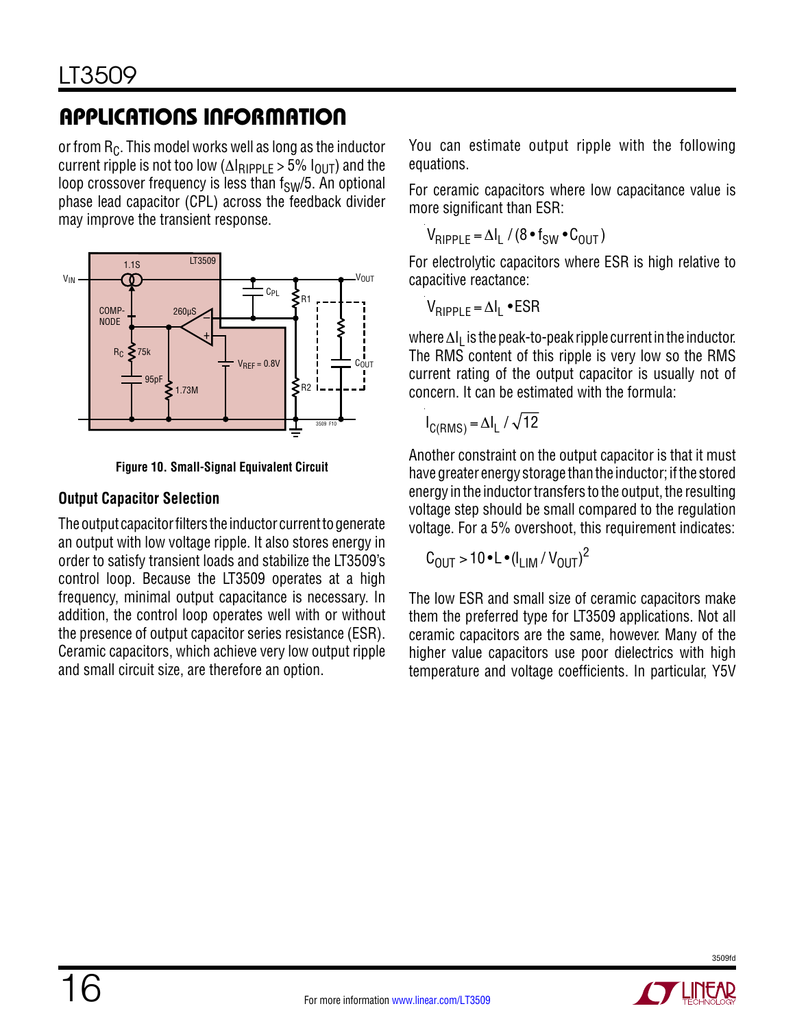or from  $R_C$ . This model works well as long as the inductor current ripple is not too low ( $\Delta$ I<sub>RIPPLE</sub> > 5%  $I_{\text{OUT}}$ ) and the loop crossover frequency is less than  $f_{SW}/5$ . An optional phase lead capacitor (CPL) across the feedback divider may improve the transient response.



**Figure 10. Small-Signal Equivalent Circuit**

### **Output Capacitor Selection**

The output capacitor filters the inductor current to generate an output with low voltage ripple. It also stores energy in order to satisfy transient loads and stabilize the LT3509's control loop. Because the LT3509 operates at a high frequency, minimal output capacitance is necessary. In addition, the control loop operates well with or without the presence of output capacitor series resistance (ESR). Ceramic capacitors, which achieve very low output ripple and small circuit size, are therefore an option.

You can estimate output ripple with the following equations.

For ceramic capacitors where low capacitance value is more significant than ESR:

$$
V_{RIPPLE} = \Delta I_L / (8 \cdot f_{SW} \cdot C_{OUT})
$$

For electrolytic capacitors where ESR is high relative to capacitive reactance:

V<sub>RIPPLE</sub> = ΔI<sub>L</sub> •ESR

where  $\Delta I_L$  is the peak-to-peak ripple current in the inductor. The RMS content of this ripple is very low so the RMS current rating of the output capacitor is usually not of concern. It can be estimated with the formula:

$$
I_{C(RMS)} = \Delta I_L / \sqrt{12}
$$

Another constraint on the output capacitor is that it must have greater energy storage than the inductor; if the stored energy in the inductor transfers to the output, the resulting voltage step should be small compared to the regulation voltage. For a 5% overshoot, this requirement indicates:

$$
C_{\text{OUT}} > 10 \cdot L \cdot (I_{\text{LIM}} / V_{\text{OUT}})^2
$$

The low ESR and small size of ceramic capacitors make them the preferred type for LT3509 applications. Not all ceramic capacitors are the same, however. Many of the higher value capacitors use poor dielectrics with high temperature and voltage coefficients. In particular, Y5V

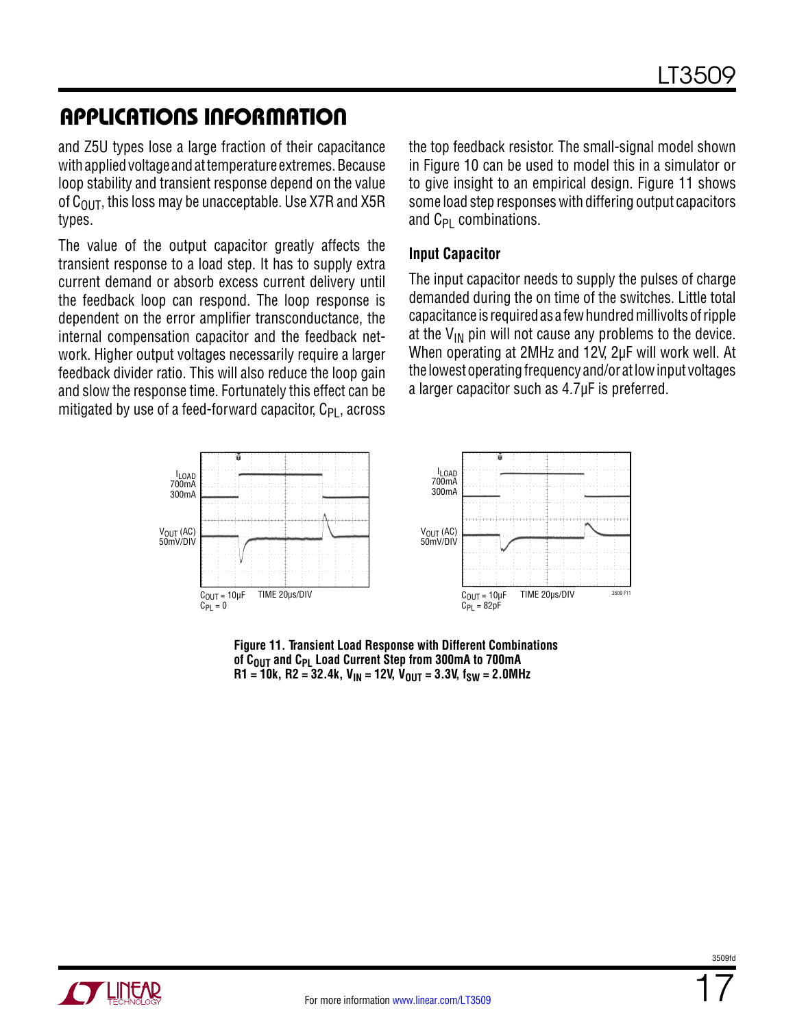and Z5U types lose a large fraction of their capacitance with applied voltage and at temperature extremes. Because loop stability and transient response depend on the value of  $C<sub>OIII</sub>$ , this loss may be unacceptable. Use X7R and X5R types.

The value of the output capacitor greatly affects the transient response to a load step. It has to supply extra current demand or absorb excess current delivery until the feedback loop can respond. The loop response is dependent on the error amplifier transconductance, the internal compensation capacitor and the feedback network. Higher output voltages necessarily require a larger feedback divider ratio. This will also reduce the loop gain and slow the response time. Fortunately this effect can be mitigated by use of a feed-forward capacitor,  $C_{PI}$ , across the top feedback resistor. The small-signal model shown in Figure 10 can be used to model this in a simulator or to give insight to an empirical design. Figure 11 shows some load step responses with differing output capacitors and  $C_{PI}$  combinations.

#### **Input Capacitor**

The input capacitor needs to supply the pulses of charge demanded during the on time of the switches. Little total capacitance is required as a few hundred millivolts of ripple at the  $V_{IN}$  pin will not cause any problems to the device. When operating at 2MHz and 12V, 2µF will work well. At the lowest operating frequency and/or at low input voltages a larger capacitor such as 4.7µF is preferred.



**Figure 11. Transient Load Response with Different Combinations of COUT and CPL Load Current Step from 300mA to 700mA**  $R1 = 10k$ ,  $R2 = 32.4k$ ,  $V_{IN} = 12V$ ,  $V_{OUT} = 3.3V$ ,  $f_{SW} = 2.0MHz$ 



3509fr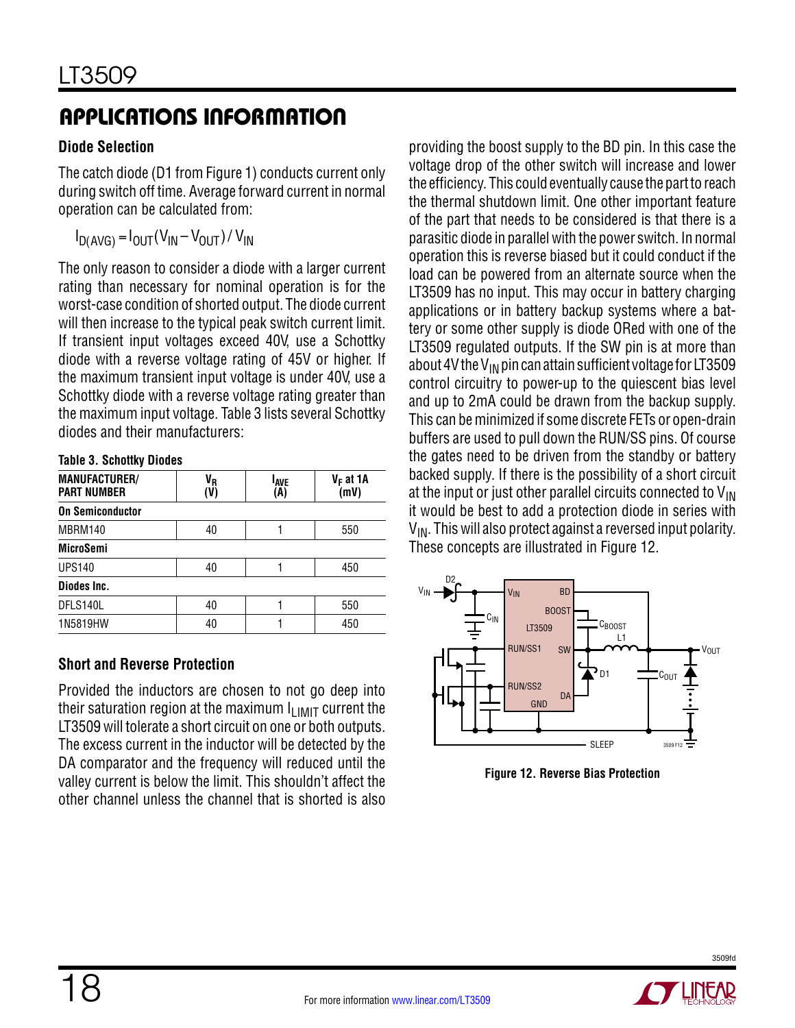#### **Diode Selection**

The catch diode (D1 from Figure 1) conducts current only during switch off time. Average forward current in normal operation can be calculated from:

$$
I_{D(AVG)} = I_{OUT}(V_{IN} - V_{OUT}) / V_{IN}
$$

The only reason to consider a diode with a larger current rating than necessary for nominal operation is for the worst-case condition of shorted output. The diode current will then increase to the typical peak switch current limit. If transient input voltages exceed 40V, use a Schottky diode with a reverse voltage rating of 45V or higher. If the maximum transient input voltage is under 40V, use a Schottky diode with a reverse voltage rating greater than the maximum input voltage. Table 3 lists several Schottky diodes and their manufacturers:

#### **Table 3. Schottky Diodes**

| <b>MANUFACTURER/</b><br><b>PART NUMBER</b> | VR<br>(V  | <b>LAVE</b><br>(A) | $V_F$ at 1A<br>(mV) |  |  |  |
|--------------------------------------------|-----------|--------------------|---------------------|--|--|--|
| <b>On Semiconductor</b>                    |           |                    |                     |  |  |  |
| MBRM140                                    | 550<br>40 |                    |                     |  |  |  |
| <b>MicroSemi</b>                           |           |                    |                     |  |  |  |
| <b>UPS140</b>                              | 40<br>450 |                    |                     |  |  |  |
| Diodes Inc.                                |           |                    |                     |  |  |  |
| DFLS140L                                   | 40        |                    | 550                 |  |  |  |
| 1N5819HW                                   | 40        |                    | 450                 |  |  |  |

#### **Short and Reverse Protection**

Provided the inductors are chosen to not go deep into their saturation region at the maximum  $I_{LIMIT}$  current the LT3509 will tolerate a short circuit on one or both outputs. The excess current in the inductor will be detected by the DA comparator and the frequency will reduced until the valley current is below the limit. This shouldn't affect the other channel unless the channel that is shorted is also

providing the boost supply to the BD pin. In this case the voltage drop of the other switch will increase and lower the efficiency. This could eventually cause the part to reach the thermal shutdown limit. One other important feature of the part that needs to be considered is that there is a parasitic diode in parallel with the power switch. In normal operation this is reverse biased but it could conduct if the load can be powered from an alternate source when the LT3509 has no input. This may occur in battery charging applications or in battery backup systems where a battery or some other supply is diode ORed with one of the LT3509 regulated outputs. If the SW pin is at more than about 4V the  $V_{IN}$  pin can attain sufficient voltage for LT3509 control circuitry to power-up to the quiescent bias level and up to 2mA could be drawn from the backup supply. This can be minimized if some discrete FETs or open-drain buffers are used to pull down the RUN/SS pins. Of course the gates need to be driven from the standby or battery backed supply. If there is the possibility of a short circuit at the input or just other parallel circuits connected to  $V_{IN}$ it would be best to add a protection diode in series with  $V_{IN}$ . This will also protect against a reversed input polarity. These concepts are illustrated in Figure 12.



**Figure 12. Reverse Bias Protection**

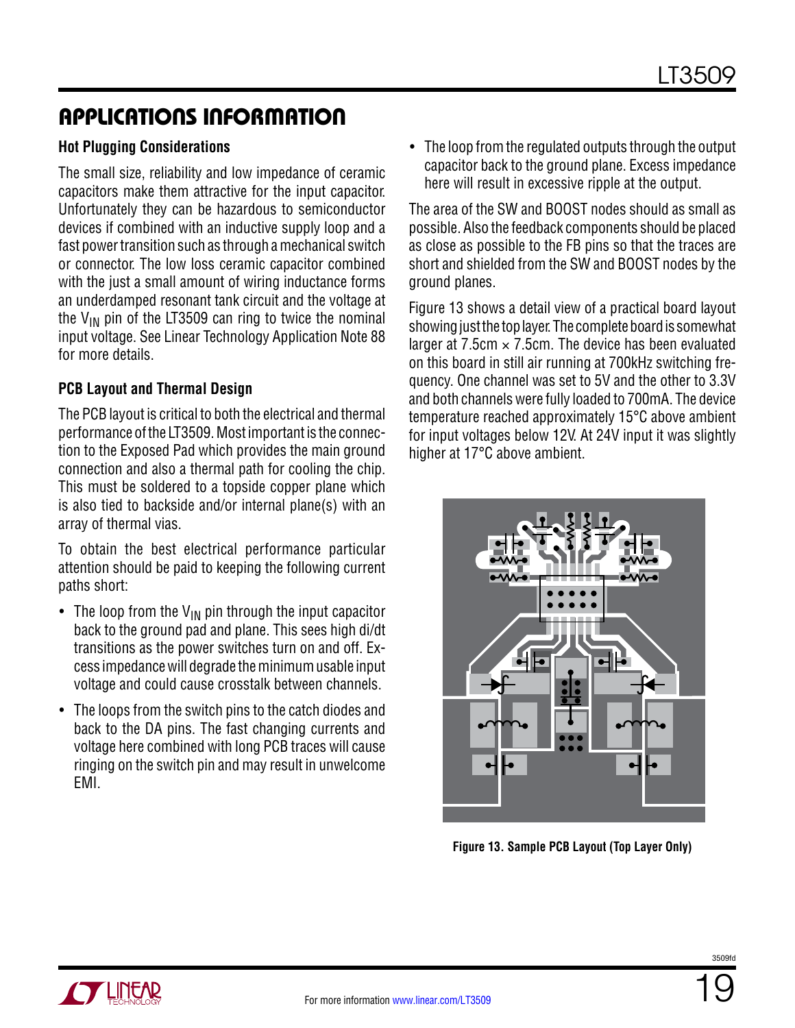#### **Hot Plugging Considerations**

The small size, reliability and low impedance of ceramic capacitors make them attractive for the input capacitor. Unfortunately they can be hazardous to semiconductor devices if combined with an inductive supply loop and a fast power transition such as through a mechanical switch or connector. The low loss ceramic capacitor combined with the just a small amount of wiring inductance forms an underdamped resonant tank circuit and the voltage at the  $V_{IN}$  pin of the LT3509 can ring to twice the nominal input voltage. See Linear Technology Application Note 88 for more details.

#### **PCB Layout and Thermal Design**

The PCB layout is critical to both the electrical and thermal performance of the LT3509. Most important is the connection to the Exposed Pad which provides the main ground connection and also a thermal path for cooling the chip. This must be soldered to a topside copper plane which is also tied to backside and/or internal plane(s) with an array of thermal vias.

To obtain the best electrical performance particular attention should be paid to keeping the following current paths short:

- The loop from the  $V_{IN}$  pin through the input capacitor back to the ground pad and plane. This sees high di/dt transitions as the power switches turn on and off. Excess impedance will degrade the minimum usable input voltage and could cause crosstalk between channels.
- The loops from the switch pins to the catch diodes and back to the DA pins. The fast changing currents and voltage here combined with long PCB traces will cause ringing on the switch pin and may result in unwelcome EMI.

• The loop from the regulated outputs through the output capacitor back to the ground plane. Excess impedance here will result in excessive ripple at the output.

The area of the SW and BOOST nodes should as small as possible. Also the feedback components should be placed as close as possible to the FB pins so that the traces are short and shielded from the SW and BOOST nodes by the ground planes.

Figure 13 shows a detail view of a practical board layout showing just the top layer. The complete board is somewhat larger at  $7.5cm \times 7.5cm$ . The device has been evaluated on this board in still air running at 700kHz switching frequency. One channel was set to 5V and the other to 3.3V and both channels were fully loaded to 700mA. The device temperature reached approximately 15°C above ambient for input voltages below 12V. At 24V input it was slightly higher at 17°C above ambient.



**Figure 13. Sample PCB Layout (Top Layer Only)**

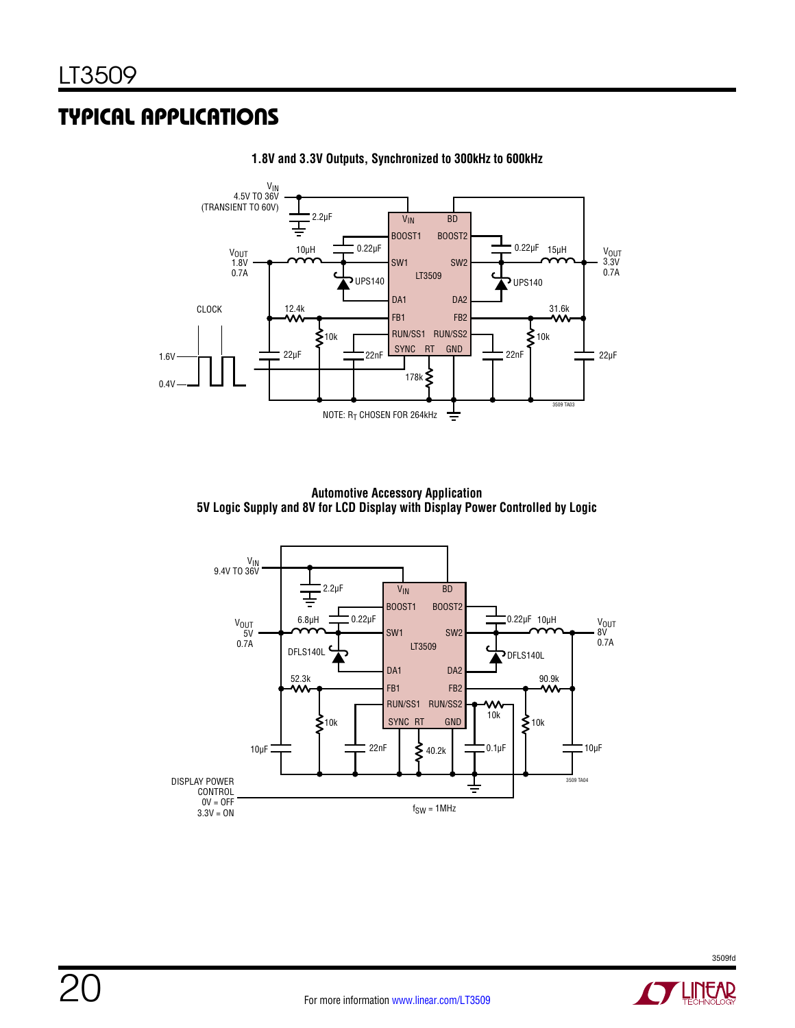## Typical Applications



**1.8V and 3.3V Outputs, Synchronized to 300kHz to 600kHz**

**Automotive Accessory Application 5V Logic Supply and 8V for LCD Display with Display Power Controlled by Logic**

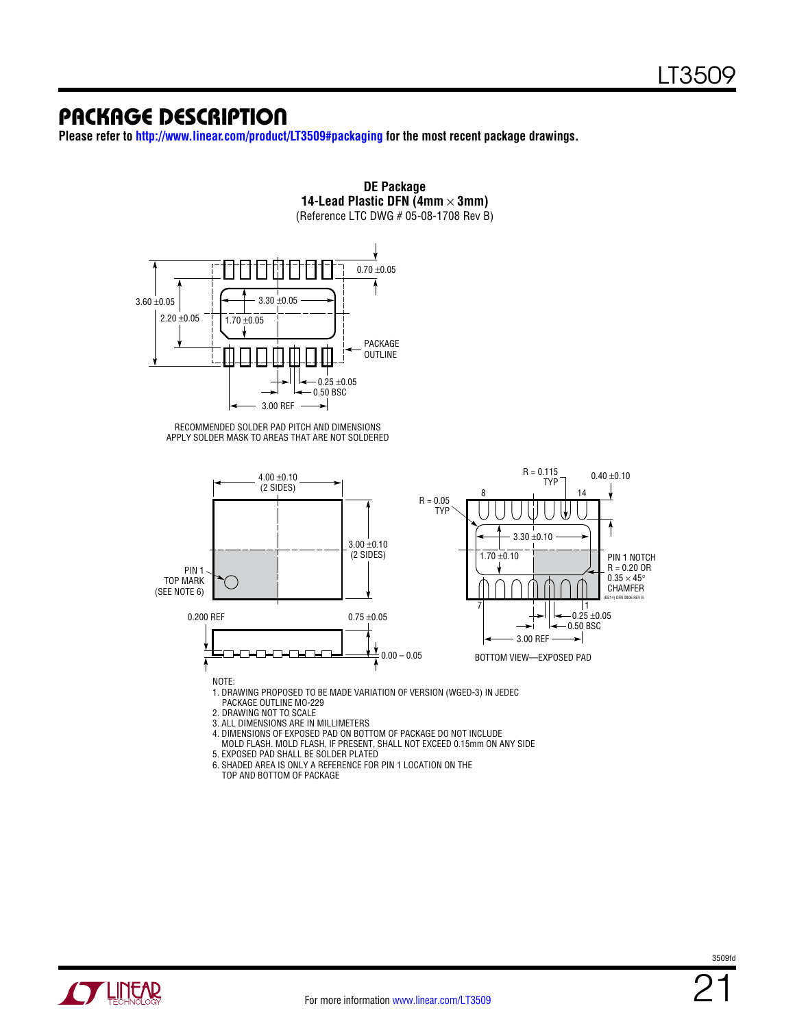### package description

**Please refer to <http://www.linear.com/product/LT3509#packaging> for the most recent package drawings.**





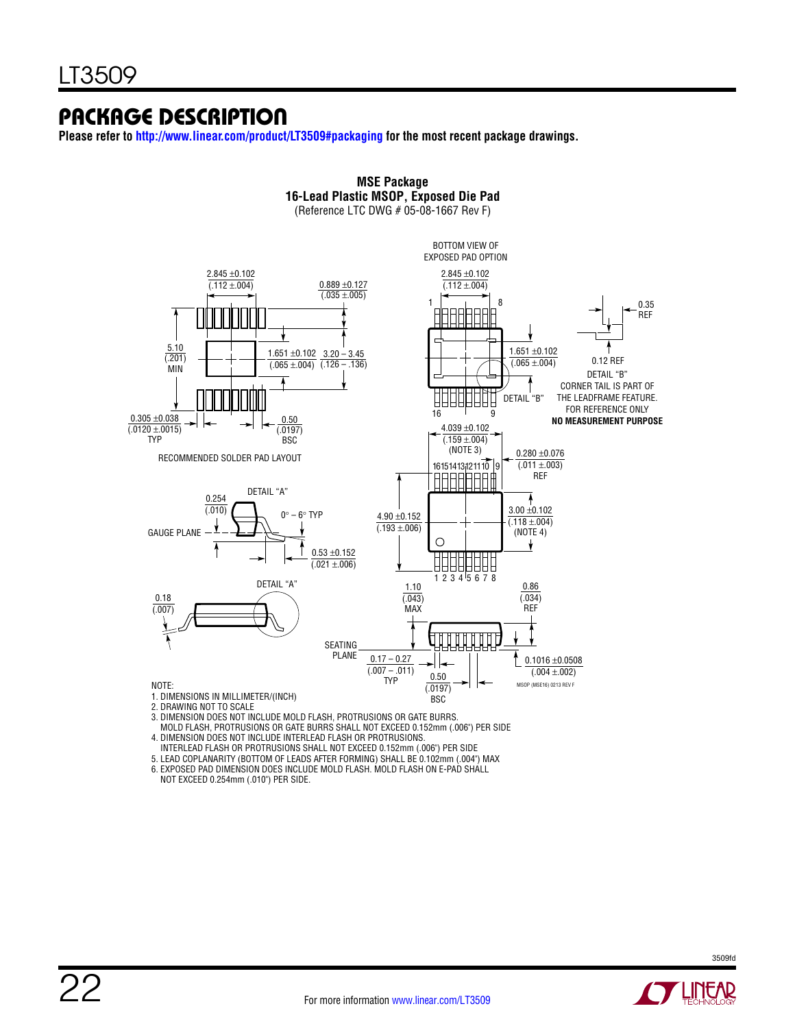### package description

**Please refer to <http://www.linear.com/product/LT3509#packaging> for the most recent package drawings.**



**MSE Package**

- MOLD FLASH, PROTRUSIONS OR GATE BURRS SHALL NOT EXCEED 0.152mm (.006") PER SIDE 4. DIMENSION DOES NOT INCLUDE INTERLEAD FLASH OR PROTRUSIONS.
- INTERLEAD FLASH OR PROTRUSIONS SHALL NOT EXCEED 0.152mm (.006") PER SIDE
- 

5. LEAD COPLANARITY (BOTTOM OF LEADS AFTER FORMING) SHALL BE 0.102mm (.004") MAX

6. EXPOSED PAD DIMENSION DOES INCLUDE MOLD FLASH. MOLD FLASH ON E-PAD SHALL NOT EXCEED 0.254mm (.010") PER SIDE.

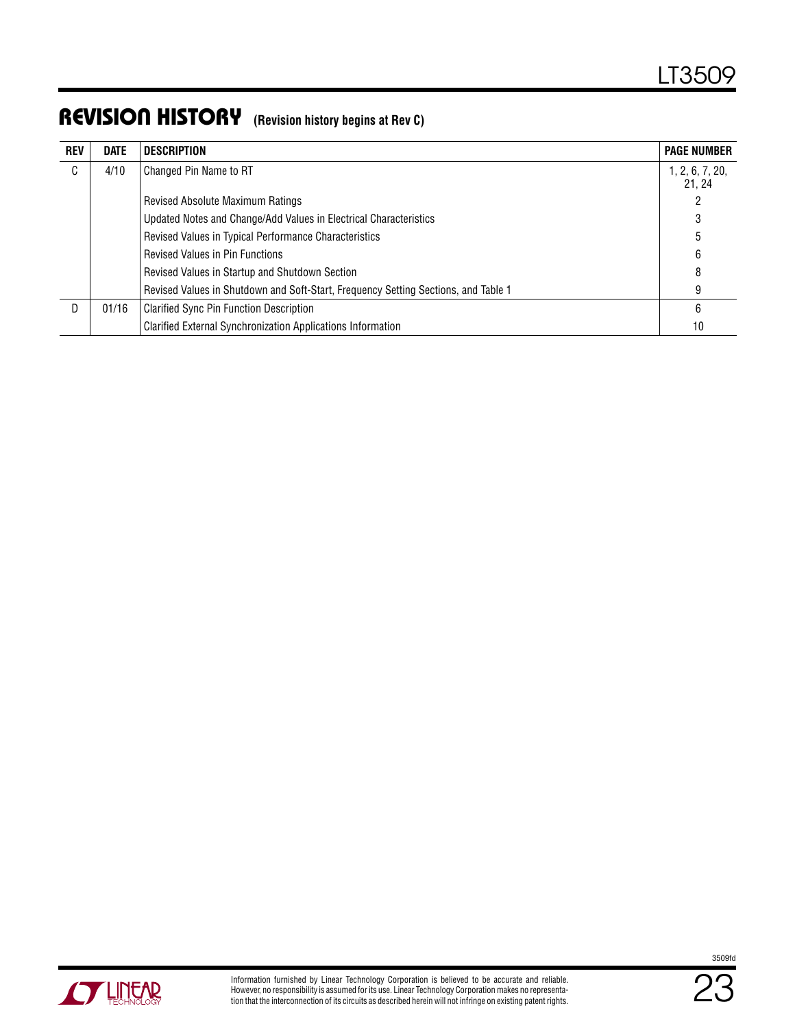### Revision History **(Revision history begins at Rev C)**

| <b>REV</b> | <b>DATE</b> | <b>DESCRIPTION</b>                                                                 | <b>PAGE NUMBER</b>       |
|------------|-------------|------------------------------------------------------------------------------------|--------------------------|
| C          | 4/10        | Changed Pin Name to RT                                                             | 1, 2, 6, 7, 20,<br>21.24 |
|            |             | Revised Absolute Maximum Ratings                                                   |                          |
|            |             | Updated Notes and Change/Add Values in Electrical Characteristics                  |                          |
|            |             | Revised Values in Typical Performance Characteristics                              | 5                        |
|            |             | <b>Revised Values in Pin Functions</b>                                             | 6                        |
|            |             | Revised Values in Startup and Shutdown Section                                     | 8                        |
|            |             | Revised Values in Shutdown and Soft-Start, Frequency Setting Sections, and Table 1 | 9                        |
| D          | 01/16       | <b>Clarified Sync Pin Function Description</b>                                     | 6                        |
|            |             | <b>Clarified External Synchronization Applications Information</b>                 | 10                       |